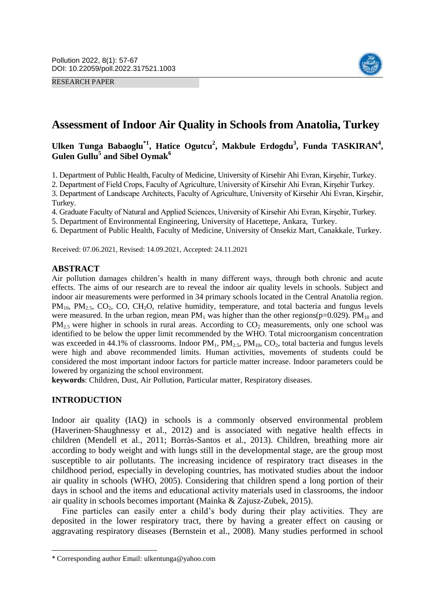RESEARCH PAPER



# **Assessment of Indoor Air Quality in Schools from Anatolia, Turkey**

## Ulken Tunga Babaoglu<sup>\*1</sup>, Hatice Ogutcu<sup>2</sup>, Makbule Erdogdu<sup>3</sup>, Funda TASKIRAN<sup>4</sup>, **Gulen Gullu<sup>5</sup> and Sibel Oymak<sup>6</sup>**

1. Department of Public Health, Faculty of Medicine, University of Kirsehir Ahi Evran, Kirşehir, Turkey.

2. Department of Field Crops, Faculty of Agriculture, University of Kirsehir Ahi Evran, Kirşehir Turkey.

3. Department of Landscape Architects, Faculty of Agriculture, University of Kirsehir Ahi Evran, Kirşehir, Turkey.

4. Graduate Faculty of Natural and Applied Sciences, University of Kirsehir Ahi Evran, Kirşehir, Turkey.

5. Department of Environmental Engineering, University of Hacettepe, Ankara, Turkey.

6. Department of Public Health, Faculty of Medicine, University of Onsekiz Mart, Canakkale, Turkey.

Received: 07.06.2021, Revised: 14.09.2021, Accepted: 24.11.2021

### **ABSTRACT**

Air pollution damages children's health in many different ways, through both chronic and acute effects. The aims of our research are to reveal the indoor air quality levels in schools. Subject and indoor air measurements were performed in 34 primary schools located in the Central Anatolia region.  $PM_{10}$ ,  $PM_{2.5}$ ,  $CO_2$ ,  $CO$ ,  $CH_2O$ , relative humidity, temperature, and total bacteria and fungus levels were measured. In the urban region, mean  $PM_1$  was higher than the other regions(p=0.029).  $PM_{10}$  and  $PM_{2.5}$  were higher in schools in rural areas. According to  $CO_2$  measurements, only one school was identified to be below the upper limit recommended by the WHO. Total microorganism concentration was exceeded in 44.1% of classrooms. Indoor  $PM_1$ ,  $PM_2$ ,  $PM_{10}$ ,  $CO_2$ , total bacteria and fungus levels were high and above recommended limits. Human activities, movements of students could be considered the most important indoor factors for particle matter increase. Indoor parameters could be lowered by organizing the school environment.

**keywords**: Children, Dust, Air Pollution, Particular matter, Respiratory diseases.

### **INTRODUCTION**

 $\overline{\phantom{a}}$ 

Indoor air quality (IAQ) in schools is a commonly observed environmental problem (Haverinen‐Shaughnessy et al., 2012) and is associated with negative health effects in children (Mendell et al., 2011; Borràs-Santos et al., 2013). Children, breathing more air according to body weight and with lungs still in the developmental stage, are the group most susceptible to air pollutants. The increasing incidence of respiratory tract diseases in the childhood period, especially in developing countries, has motivated studies about the indoor air quality in schools (WHO, 2005). Considering that children spend a long portion of their days in school and the items and educational activity materials used in classrooms, the indoor air quality in schools becomes important (Mainka & Zajusz-Zubek, 2015).

Fine particles can easily enter a child's body during their play activities. They are deposited in the lower respiratory tract, there by having a greater effect on causing or aggravating respiratory diseases (Bernstein et al., 2008). Many studies performed in school

<sup>\*</sup> Corresponding author Email: ulkentunga@yahoo.com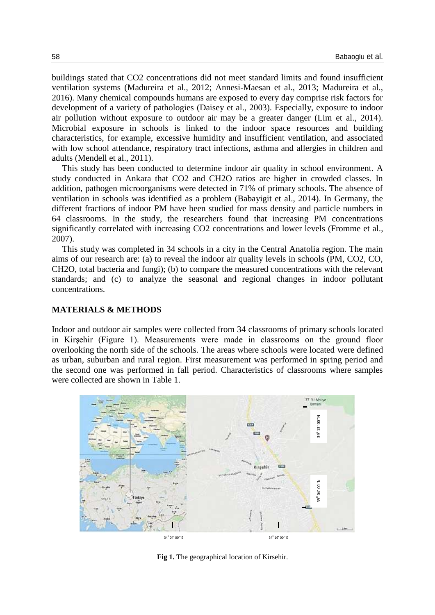buildings stated that CO2 concentrations did not meet standard limits and found insufficient ventilation systems (Madureira et al., 2012; Annesi-Maesan et al., 2013; Madureira et al., 2016). Many chemical compounds humans are exposed to every day comprise risk factors for development of a variety of pathologies (Daisey et al., 2003). Especially, exposure to indoor air pollution without exposure to outdoor air may be a greater danger (Lim et al., 2014). Microbial exposure in schools is linked to the indoor space resources and building characteristics, for example, excessive humidity and insufficient ventilation, and associated with low school attendance, respiratory tract infections, asthma and allergies in children and adults (Mendell et al., 2011).

This study has been conducted to determine indoor air quality in school environment. A study conducted in Ankara that CO2 and CH2O ratios are higher in crowded classes. In addition, pathogen microorganisms were detected in 71% of primary schools. The absence of ventilation in schools was identified as a problem (Babayigit et al., 2014). In Germany, the different fractions of indoor PM have been studied for mass density and particle numbers in 64 classrooms. In the study, the researchers found that increasing PM concentrations significantly correlated with increasing CO2 concentrations and lower levels (Fromme et al., 2007).

This study was completed in 34 schools in a city in the Central Anatolia region. The main aims of our research are: (a) to reveal the indoor air quality levels in schools (PM, CO2, CO, CH2O, total bacteria and fungi); (b) to compare the measured concentrations with the relevant standards; and (c) to analyze the seasonal and regional changes in indoor pollutant concentrations.

### **MATERIALS & METHODS**

Indoor and outdoor air samples were collected from 34 classrooms of primary schools located in Kirşehir (Figure 1). Measurements were made in classrooms on the ground floor overlooking the north side of the schools. The areas where schools were located were defined as urban, suburban and rural region. First measurement was performed in spring period and the second one was performed in fall period. Characteristics of classrooms where samples were collected are shown in Table 1.



**Fig 1.** The geographical location of Kirsehir.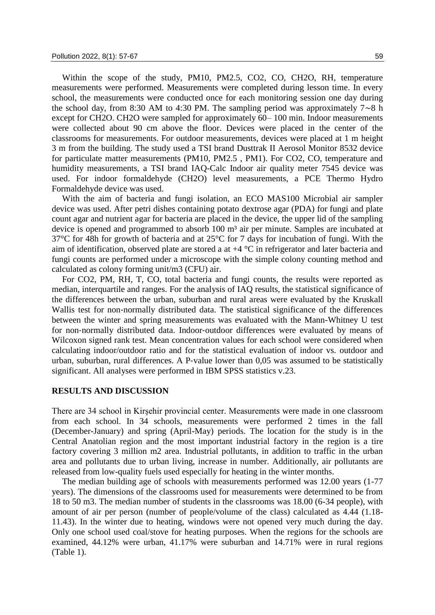Within the scope of the study, PM10, PM2.5, CO2, CO, CH2O, RH, temperature measurements were performed. Measurements were completed during lesson time. In every school, the measurements were conducted once for each monitoring session one day during the school day, from 8:30 AM to 4:30 PM. The sampling period was approximately 7∼8 h except for CH2O. CH2O were sampled for approximately 60– 100 min. Indoor measurements were collected about 90 cm above the floor. Devices were placed in the center of the classrooms for measurements. For outdoor measurements, devices were placed at 1 m height 3 m from the building. The study used a TSI brand Dusttrak II Aerosol Monitor 8532 device for particulate matter measurements (PM10, PM2.5 , PM1). For CO2, CO, temperature and humidity measurements, a TSI brand IAQ-Calc Indoor air quality meter 7545 device was used. For indoor formaldehyde (CH2O) level measurements, a PCE Thermo Hydro Formaldehyde device was used.

With the aim of bacteria and fungi isolation, an ECO MAS100 Microbial air sampler device was used. After petri dishes containing potato dextrose agar (PDA) for fungi and plate count agar and nutrient agar for bacteria are placed in the device, the upper lid of the sampling device is opened and programmed to absorb 100 m<sup>3</sup> air per minute. Samples are incubated at 37°C for 48h for growth of bacteria and at 25°C for 7 days for incubation of fungi. With the aim of identification, observed plate are stored a at +4 °C in refrigerator and later bacteria and fungi counts are performed under a microscope with the simple colony counting method and calculated as colony forming unit/m3 (CFU) air.

For CO2, PM, RH, T, CO, total bacteria and fungi counts, the results were reported as median, interquartile and ranges. For the analysis of IAQ results, the statistical significance of the differences between the urban, suburban and rural areas were evaluated by the Kruskall Wallis test for non-normally distributed data. The statistical significance of the differences between the winter and spring measurements was evaluated with the Mann-Whitney U test for non-normally distributed data. Indoor-outdoor differences were evaluated by means of Wilcoxon signed rank test. Mean concentration values for each school were considered when calculating indoor/outdoor ratio and for the statistical evaluation of indoor vs. outdoor and urban, suburban, rural differences. A P‐value lower than 0,05 was assumed to be statistically significant. All analyses were performed in IBM SPSS statistics v.23.

### **RESULTS AND DISCUSSION**

There are 34 school in Kirşehir provincial center. Measurements were made in one classroom from each school. In 34 schools, measurements were performed 2 times in the fall (December-January) and spring (April-May) periods. The location for the study is in the Central Anatolian region and the most important industrial factory in the region is a tire factory covering 3 million m2 area. Industrial pollutants, in addition to traffic in the urban area and pollutants due to urban living, increase in number. Additionally, air pollutants are released from low-quality fuels used especially for heating in the winter months.

The median building age of schools with measurements performed was 12.00 years (1-77 years). The dimensions of the classrooms used for measurements were determined to be from 18 to 50 m3. The median number of students in the classrooms was 18.00 (6-34 people), with amount of air per person (number of people/volume of the class) calculated as 4.44 (1.18- 11.43). In the winter due to heating, windows were not opened very much during the day. Only one school used coal/stove for heating purposes. When the regions for the schools are examined, 44.12% were urban, 41.17% were suburban and 14.71% were in rural regions (Table 1).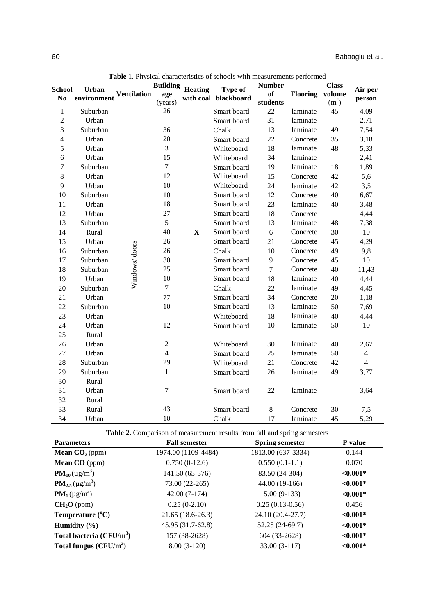| <b>Table</b> 1. Physical characteristics of schools with measurements performed |              |                    |                 |                |                      |                  |          |                   |                |
|---------------------------------------------------------------------------------|--------------|--------------------|-----------------|----------------|----------------------|------------------|----------|-------------------|----------------|
| <b>School</b>                                                                   | <b>Urban</b> |                    | <b>Building</b> | <b>Heating</b> | <b>Type of</b>       | <b>Number</b>    |          | <b>Class</b>      | Air per        |
| No                                                                              | environment  | <b>Ventilation</b> | age             |                | with coal blackboard | of               | Flooring | volume            | person         |
|                                                                                 |              |                    | (years)         |                |                      | students         |          | (m <sup>2</sup> ) |                |
| $\mathbf{1}$                                                                    | Suburban     |                    | 26              |                | Smart board          | 22               | laminate | 45                | 4,09           |
| $\overline{2}$                                                                  | Urban        |                    |                 |                | Smart board          | 31               | laminate |                   | 2,71           |
| 3                                                                               | Suburban     |                    | 36              |                | Chalk                | 13               | laminate | 49                | 7,54           |
| 4                                                                               | Urban        |                    | 20              |                | Smart board          | 22               | Concrete | 35                | 3,18           |
| 5                                                                               | Urban        |                    | 3               |                | Whiteboard           | 18               | laminate | 48                | 5,33           |
| 6                                                                               | Urban        |                    | 15              |                | Whiteboard           | 34               | laminate |                   | 2,41           |
| $\tau$                                                                          | Suburban     |                    | $\overline{7}$  |                | Smart board          | 19               | laminate | 18                | 1,89           |
| $\,8\,$                                                                         | Urban        |                    | 12              |                | Whiteboard           | 15               | Concrete | 42                | 5,6            |
| 9                                                                               | Urban        |                    | 10              |                | Whiteboard           | 24               | laminate | 42                | 3,5            |
| 10                                                                              | Suburban     |                    | 10              |                | Smart board          | 12               | Concrete | 40                | 6,67           |
| 11                                                                              | Urban        |                    | 18              |                | Smart board          | 23               | laminate | 40                | 3,48           |
| 12                                                                              | Urban        |                    | 27              |                | Smart board          | 18               | Concrete |                   | 4,44           |
| 13                                                                              | Suburban     |                    | 5               |                | Smart board          | 13               | laminate | 48                | 7,38           |
| 14                                                                              | Rural        |                    | 40              | $\mathbf X$    | Smart board          | 6                | Concrete | 30                | 10             |
| 15                                                                              | Urban        |                    | 26              |                | Smart board          | 21               | Concrete | 45                | 4,29           |
| 16                                                                              | Suburban     | Windows/doors      | 26              |                | Chalk                | 10               | Concrete | 49                | 9,8            |
| 17                                                                              | Suburban     |                    | 30              |                | Smart board          | $\mathbf{9}$     | Concrete | 45                | 10             |
| 18                                                                              | Suburban     |                    | 25              |                | Smart board          | $\boldsymbol{7}$ | Concrete | 40                | 11,43          |
| 19                                                                              | Urban        |                    | 10              |                | Smart board          | 18               | laminate | 40                | 4,44           |
| 20                                                                              | Suburban     |                    | $\tau$          |                | Chalk                | 22               | laminate | 49                | 4,45           |
| 21                                                                              | Urban        |                    | 77              |                | Smart board          | 34               | Concrete | 20                | 1,18           |
| 22                                                                              | Suburban     |                    | 10              |                | Smart board          | 13               | laminate | 50                | 7,69           |
| 23                                                                              | Urban        |                    |                 |                | Whiteboard           | 18               | laminate | 40                | 4,44           |
| 24                                                                              | Urban        |                    | 12              |                | Smart board          | 10               | laminate | 50                | $10\,$         |
| 25                                                                              | Rural        |                    |                 |                |                      |                  |          |                   |                |
| 26                                                                              | Urban        |                    | $\sqrt{2}$      |                | Whiteboard           | 30               | laminate | 40                | 2,67           |
| 27                                                                              | Urban        |                    | $\overline{4}$  |                | Smart board          | 25               | laminate | 50                | $\overline{4}$ |
| 28                                                                              | Suburban     |                    | 29              |                | Whiteboard           | 21               | Concrete | 42                | $\overline{4}$ |
| 29                                                                              | Suburban     |                    | $\mathbf{1}$    |                | Smart board          | 26               | laminate | 49                | 3,77           |
| 30                                                                              | Rural        |                    |                 |                |                      |                  |          |                   |                |
| 31                                                                              | Urban        |                    | $\overline{7}$  |                | Smart board          | 22               | laminate |                   | 3,64           |
| 32                                                                              | Rural        |                    |                 |                |                      |                  |          |                   |                |
| 33                                                                              | Rural        |                    | 43              |                | Smart board          | $8\,$            | Concrete | 30                | 7,5            |
| 34                                                                              | Urban        |                    | 10              |                | Chalk                | 17               | laminate | 45                | 5,29           |

**Table** 1. Physical characteristics of schools with measurements performed

|  |  | Table 2. Comparison of measurement results from fall and spring semesters |  |  |
|--|--|---------------------------------------------------------------------------|--|--|
|--|--|---------------------------------------------------------------------------|--|--|

| <b>Parameters</b>                                  | <b>Fall semester</b> | <b>Spring semester</b> | <b>P</b> value |
|----------------------------------------------------|----------------------|------------------------|----------------|
| <b>Mean <math>CO2(ppm)</math></b>                  | 1974.00 (1109-4484)  | 1813.00 (637-3334)     | 0.144          |
| <b>Mean CO</b> (ppm)                               | $0.750(0-12.6)$      | $0.550(0.1-1.1)$       | 0.070          |
| <b>PM</b> <sub>10</sub> ( $\mu$ g/m <sup>3</sup> ) | 141.50 (65-576)      | 83.50 (24-304)         | ${<}0.001*$    |
| $PM_{2.5} (\mu g/m^3)$                             | 73.00 (22-265)       | 44.00 (19-166)         | ${<}0.001*$    |
| $PM_1(\mu g/m^3)$                                  | $42.00(7-174)$       | $15.00(9-133)$         | ${<}0.001*$    |
| $CH2O$ (ppm)                                       | $0.25(0-2.10)$       | $0.25(0.13-0.56)$      | 0.456          |
| Temperature $(^{\circ}C)$                          | 21.65 (18.6-26.3)    | 24.10 (20.4-27.7)      | ${<}0.001*$    |
| Humidity $(\% )$                                   | 45.95 (31.7-62.8)    | $52.25(24-69.7)$       | ${<}0.001*$    |
| Total bacteria $(CFU/m^3)$                         | 157 (38-2628)        | 604 (33-2628)          | ${<}0.001*$    |
| Total fungus $(CFU/m^3)$                           | $8.00(3-120)$        | 33.00 (3-117)          | ${<}0.001*$    |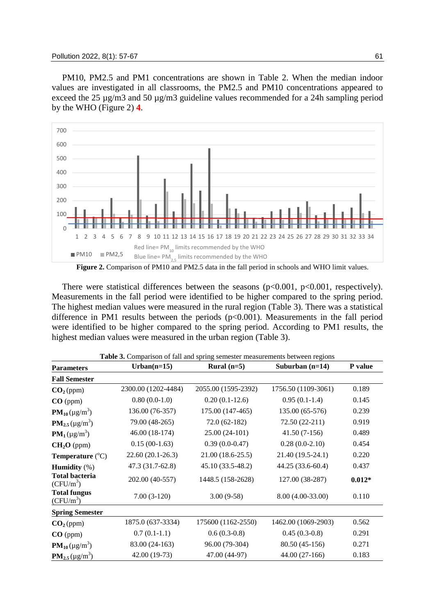PM10, PM2.5 and PM1 concentrations are shown in Table 2. When the median indoor values are investigated in all classrooms, the PM2.5 and PM10 concentrations appeared to exceed the 25 µg/m3 and 50 µg/m3 guideline values recommended for a 24h sampling period by the WHO (Figure 2) **4**.



There were statistical differences between the seasons  $(p<0.001, p<0.001,$  respectively). Measurements in the fall period were identified to be higher compared to the spring period. The highest median values were measured in the rural region (Table 3). There was a statistical difference in PM1 results between the periods  $(p<0.001)$ . Measurements in the fall period were identified to be higher compared to the spring period. According to PM1 results, the highest median values were measured in the urban region (Table 3).

| <b>Parameters</b>                                   | Urban $(n=15)$      | Rural $(n=5)$       | Suburban $(n=14)$   | P value  |  |
|-----------------------------------------------------|---------------------|---------------------|---------------------|----------|--|
| <b>Fall Semester</b>                                |                     |                     |                     |          |  |
| CO <sub>2</sub> (ppm)                               | 2300.00 (1202-4484) | 2055.00 (1595-2392) | 1756.50 (1109-3061) | 0.189    |  |
| $CO$ (ppm)                                          | $0.80(0.0-1.0)$     | $0.20(0.1-12.6)$    | $0.95(0.1-1.4)$     | 0.145    |  |
| <b>PM</b> <sub>10</sub> ( $\mu$ g/m <sup>3</sup> )  | 136.00 (76-357)     | 175.00 (147-465)    | 135.00 (65-576)     | 0.239    |  |
| $PM_{2.5} (\mu g/m^3)$                              | 79.00 (48-265)      | $72.0(62-182)$      | 72.50 (22-211)      | 0.919    |  |
| $PM_1(\mu g/m^3)$                                   | 46.00 (18-174)      | $25.00(24-101)$     | $41.50(7-156)$      | 0.489    |  |
| $CH2O$ (ppm)                                        | $0.15(00-1.63)$     | $0.39(0.0-0.47)$    | $0.28(0.0-2.10)$    | 0.454    |  |
| <b>Temperature</b> $(^{\circ}C)$                    | 22.60 (20.1-26.3)   | $21.00(18.6-25.5)$  | 21.40 (19.5-24.1)   | 0.220    |  |
| <b>Humidity</b> $(\%)$                              | 47.3 (31.7-62.8)    | 45.10 (33.5-48.2)   | 44.25 (33.6-60.4)   | 0.437    |  |
| <b>Total bacteria</b><br>$(CFU/m^3)$                | 202.00 (40-557)     | 1448.5 (158-2628)   | 127.00 (38-287)     | $0.012*$ |  |
| <b>Total fungus</b><br>$(CFU/m^3)$                  | $7.00(3-120)$       | $3.00(9-58)$        | 8.00 (4.00-33.00)   | 0.110    |  |
| <b>Spring Semester</b>                              |                     |                     |                     |          |  |
| CO <sub>2</sub> (ppm)                               | 1875.0 (637-3334)   | 175600 (1162-2550)  | 1462.00 (1069-2903) | 0.562    |  |
| CO (ppm)                                            | $0.7(0.1-1.1)$      | $0.6(0.3-0.8)$      | $0.45(0.3-0.8)$     | 0.291    |  |
| <b>PM</b> <sub>10</sub> ( $\mu$ g/m <sup>3</sup> )  | 83.00 (24-163)      | 96.00 (79-304)      | 80.50 (45-156)      | 0.271    |  |
| <b>PM</b> <sub>2.5</sub> ( $\mu$ g/m <sup>3</sup> ) | 42.00 (19-73)       | 47.00 (44-97)       | 44.00 (27-166)      | 0.183    |  |

**Table 3.** Comparison of fall and spring semester measurements between regions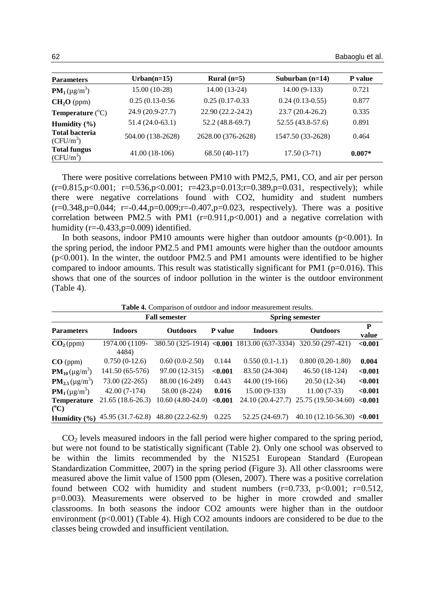| <b>Parameters</b>                    | $Urban(n=15)$     | Rural $(n=5)$      | Suburban $(n=14)$ | P value  |
|--------------------------------------|-------------------|--------------------|-------------------|----------|
| $PM_1(\mu g/m^3)$                    | $15.00(10-28)$    | 14.00 (13-24)      | $14.00(9-133)$    | 0.721    |
| $CH2O$ (ppm)                         | $0.25(0.13-0.56)$ | $0.25(0.17-0.33)$  | $0.24(0.13-0.55)$ | 0.877    |
| <b>Temperature</b> $(^{\circ}C)$     | 24.9 (20.9-27.7)  | 22.90 (22.2-24.2)  | $23.7(20.4-26.2)$ | 0.335    |
| Humidity $(\% )$                     | $51.4(24.0-63.1)$ | $52.2(48.8-69.7)$  | 52.55 (43.8-57.6) | 0.891    |
| <b>Total bacteria</b><br>$(CFU/m^3)$ | 504.00 (138-2628) | 2628.00 (376-2628) | 1547.50 (33-2628) | 0.464    |
| <b>Total fungus</b><br>$(CFU/m^3)$   | $41.00(18-106)$   | 68.50 (40-117)     | $17.50(3-71)$     | $0.007*$ |

There were positive correlations between PM10 with PM2,5, PM1, CO, and air per person  $(r=0.815, p<0.001; r=0.536, p<0.001; r=423, p=0.013; r=0.389, p=0.031, respectively); while$ there were negative correlations found with CO2, humidity and student numbers  $(r=0.348, p=0.044; r=-0.44, p=0.009; r=-0.407, p=0.023$ , respectively). There was a positive correlation between PM2.5 with PM1  $(r=0.911,p<0.001)$  and a negative correlation with humidity  $(r=-0.433,p=0.009)$  identified.

In both seasons, indoor PM10 amounts were higher than outdoor amounts  $(p<0.001)$ . In the spring period, the indoor PM2.5 and PM1 amounts were higher than the outdoor amounts  $(p<0.001)$ . In the winter, the outdoor PM2.5 and PM1 amounts were identified to be higher compared to indoor amounts. This result was statistically significant for PM1 ( $p=0.016$ ). This shows that one of the sources of indoor pollution in the winter is the outdoor environment (Table 4).

| Table 4. Comparison of outdoor and indoor measurement results. |                         |                      |                |                                             |                                |            |
|----------------------------------------------------------------|-------------------------|----------------------|----------------|---------------------------------------------|--------------------------------|------------|
|                                                                |                         | <b>Fall semester</b> |                | <b>Spring semester</b>                      |                                |            |
| <b>Parameters</b>                                              | <b>Indoors</b>          | <b>Outdoors</b>      | <b>P</b> value | <b>Indoors</b>                              | <b>Outdoors</b>                | P<br>value |
| CO <sub>2</sub> (ppm)                                          | 1974.00 (1109-<br>4484) |                      |                | 380.50 (325-1914) <0.001 1813.00 (637-3334) | 320.50 (297-421)               | < 0.001    |
| $CO$ (ppm)                                                     | $0.750(0-12.6)$         | $0.60(0.0-2.50)$     | 0.144          | $0.550(0.1-1.1)$                            | $0.800(0.20-1.80)$             | 0.004      |
| <b>PM</b> <sub>10</sub> ( $\mu$ g/m <sup>3</sup> )             | 141.50 (65-576)         | 97.00 (12-315)       | < 0.001        | 83.50 (24-304)                              | 46.50 (18-124)                 | < 0.001    |
| $PM_{2.5} (\mu g/m^3)$                                         | 73.00 (22-265)          | 88.00 (16-249)       | 0.443          | 44.00 (19-166)                              | $20.50(12-34)$                 | < 0.001    |
| $PM_1(\mu g/m^3)$                                              | $42.00(7-174)$          | 58.00 (8-224)        | 0.016          | $15.00(9-133)$                              | $11.00(7-33)$                  | < 0.001    |
| <b>Temperature</b>                                             | $21.65(18.6-26.3)$      | $10.60(4.80-24.0)$   | < 0.001        | 24.10 (20.4-27.7)                           | 25.75 (19.50-34.60)            | < 0.001    |
| $(^{\circ}C)$                                                  |                         |                      |                |                                             |                                |            |
| Humidity $(\% )$                                               | 45.95 (31.7-62.8)       | 48.80 (22.2-62.9)    | 0.225          | 52.25 (24-69.7)                             | 40.10 $(12.10 - 56.30)$ <0.001 |            |

 $CO<sub>2</sub>$  levels measured indoors in the fall period were higher compared to the spring period, but were not found to be statistically significant (Table 2). Only one school was observed to be within the limits recommended by the N15251 European Standard (European Standardization Committee, 2007) in the spring period (Figure 3). All other classrooms were measured above the limit value of 1500 ppm (Olesen, 2007). There was a positive correlation found between CO2 with humidity and student numbers  $(r=0.733, p<0.001; r=0.512,$ p=0.003). Measurements were observed to be higher in more crowded and smaller classrooms. In both seasons the indoor CO2 amounts were higher than in the outdoor environment (p<0.001) (Table 4). High CO2 amounts indoors are considered to be due to the classes being crowded and insufficient ventilation.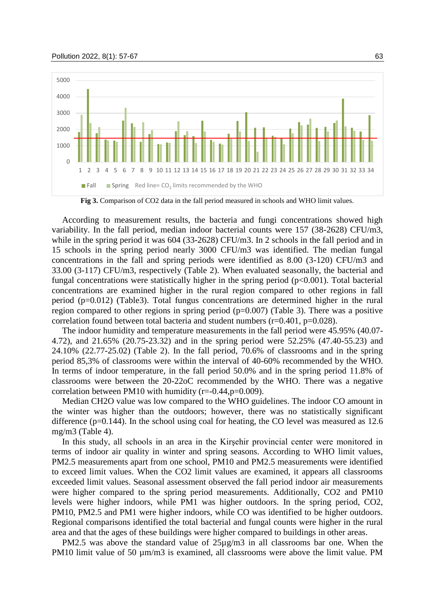#### Pollution 2022, 8(1): 57-67 63



**Fig 3.** Comparison of CO2 data in the fall period measured in schools and WHO limit values.

According to measurement results, the bacteria and fungi concentrations showed high variability. In the fall period, median indoor bacterial counts were 157 (38-2628) CFU/m3, while in the spring period it was 604 (33-2628) CFU/m3. In 2 schools in the fall period and in 15 schools in the spring period nearly 3000 CFU/m3 was identified. The median fungal concentrations in the fall and spring periods were identified as 8.00 (3-120) CFU/m3 and 33.00 (3-117) CFU/m3, respectively (Table 2). When evaluated seasonally, the bacterial and fungal concentrations were statistically higher in the spring period  $(p<0.001)$ . Total bacterial concentrations are examined higher in the rural region compared to other regions in fall period (p=0.012) (Table3). Total fungus concentrations are determined higher in the rural region compared to other regions in spring period  $(p=0.007)$  (Table 3). There was a positive correlation found between total bacteria and student numbers  $(r=0.401, p=0.028)$ .

The indoor humidity and temperature measurements in the fall period were 45.95% (40.07- 4.72), and 21.65% (20.75-23.32) and in the spring period were 52.25% (47.40-55.23) and 24.10% (22.77-25.02) (Table 2). In the fall period, 70.6% of classrooms and in the spring period 85,3% of classrooms were within the interval of 40-60% recommended by the WHO. In terms of indoor temperature, in the fall period 50.0% and in the spring period 11.8% of classrooms were between the 20-22oC recommended by the WHO. There was a negative correlation between PM10 with humidity (r=-0.44,p=0.009).

Median CH2O value was low compared to the WHO guidelines. The indoor CO amount in the winter was higher than the outdoors; however, there was no statistically significant difference  $(p=0.144)$ . In the school using coal for heating, the CO level was measured as 12.6 mg/m3 (Table 4).

In this study, all schools in an area in the Kirşehir provincial center were monitored in terms of indoor air quality in winter and spring seasons. According to WHO limit values, PM2.5 measurements apart from one school, PM10 and PM2.5 measurements were identified to exceed limit values. When the CO2 limit values are examined, it appears all classrooms exceeded limit values. Seasonal assessment observed the fall period indoor air measurements were higher compared to the spring period measurements. Additionally, CO2 and PM10 levels were higher indoors, while PM1 was higher outdoors. In the spring period, CO2, PM10, PM2.5 and PM1 were higher indoors, while CO was identified to be higher outdoors. Regional comparisons identified the total bacterial and fungal counts were higher in the rural area and that the ages of these buildings were higher compared to buildings in other areas.

PM2.5 was above the standard value of  $25\mu g/m3$  in all classrooms bar one. When the PM10 limit value of 50  $\mu$ m/m3 is examined, all classrooms were above the limit value. PM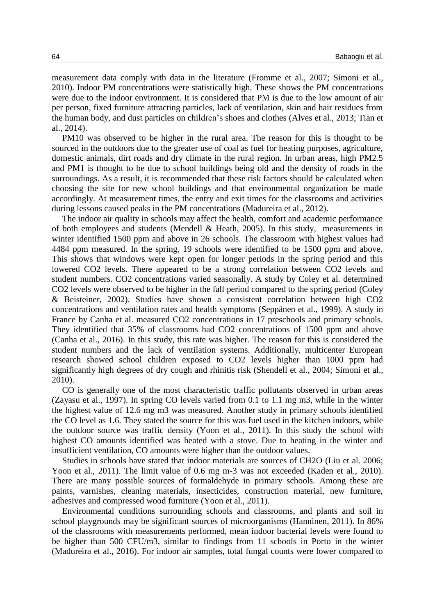measurement data comply with data in the literature (Fromme et al., 2007; Simoni et al., 2010). Indoor PM concentrations were statistically high. These shows the PM concentrations were due to the indoor environment. It is considered that PM is due to the low amount of air per person, fixed furniture attracting particles, lack of ventilation, skin and hair residues from the human body, and dust particles on children's shoes and clothes (Alves et al., 2013; Tian et al., 2014).

PM10 was observed to be higher in the rural area. The reason for this is thought to be sourced in the outdoors due to the greater use of coal as fuel for heating purposes, agriculture, domestic animals, dirt roads and dry climate in the rural region. In urban areas, high PM2.5 and PM1 is thought to be due to school buildings being old and the density of roads in the surroundings. As a result, it is recommended that these risk factors should be calculated when choosing the site for new school buildings and that environmental organization be made accordingly. At measurement times, the entry and exit times for the classrooms and activities during lessons caused peaks in the PM concentrations (Madureira et al., 2012).

The indoor air quality in schools may affect the health, comfort and academic performance of both employees and students (Mendell & Heath, 2005). In this study, measurements in winter identified 1500 ppm and above in 26 schools. The classroom with highest values had 4484 ppm measured. In the spring, 19 schools were identified to be 1500 ppm and above. This shows that windows were kept open for longer periods in the spring period and this lowered CO2 levels. There appeared to be a strong correlation between CO2 levels and student numbers. CO2 concentrations varied seasonally. A study by Coley et al. determined CO2 levels were observed to be higher in the fall period compared to the spring period (Coley & Beisteiner, 2002). Studies have shown a consistent correlation between high CO2 concentrations and ventilation rates and health symptoms (Seppänen et al., 1999). A study in France by Canha et al. measured CO2 concentrations in 17 preschools and primary schools. They identified that 35% of classrooms had CO2 concentrations of 1500 ppm and above (Canha et al., 2016). In this study, this rate was higher. The reason for this is considered the student numbers and the lack of ventilation systems. Additionally, multicenter European research showed school children exposed to CO2 levels higher than 1000 ppm had significantly high degrees of dry cough and rhinitis risk (Shendell et al., 2004; Simoni et al., 2010).

CO is generally one of the most characteristic traffic pollutants observed in urban areas (Zayasu et al., 1997). In spring CO levels varied from 0.1 to 1.1 mg m3, while in the winter the highest value of 12.6 mg m3 was measured. Another study in primary schools identified the CO level as 1.6. They stated the source for this was fuel used in the kitchen indoors, while the outdoor source was traffic density (Yoon et al., 2011). In this study the school with highest CO amounts identified was heated with a stove. Due to heating in the winter and insufficient ventilation, CO amounts were higher than the outdoor values.

Studies in schools have stated that indoor materials are sources of CH2O (Liu et al. 2006; Yoon et al., 2011). The limit value of 0.6 mg m-3 was not exceeded (Kaden et al., 2010). There are many possible sources of formaldehyde in primary schools. Among these are paints, varnishes, cleaning materials, insecticides, construction material, new furniture, adhesives and compressed wood furniture (Yoon et al., 2011).

Environmental conditions surrounding schools and classrooms, and plants and soil in school playgrounds may be significant sources of microorganisms (Hanninen, 2011). In 86% of the classrooms with measurements performed, mean indoor bacterial levels were found to be higher than 500 CFU/m3, similar to findings from 11 schools in Porto in the winter (Madureira et al., 2016). For indoor air samples, total fungal counts were lower compared to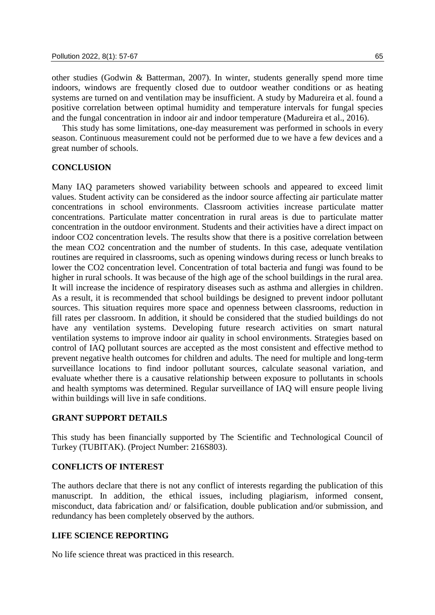other studies (Godwin & Batterman, 2007). In winter, students generally spend more time indoors, windows are frequently closed due to outdoor weather conditions or as heating systems are turned on and ventilation may be insufficient. A study by Madureira et al. found a positive correlation between optimal humidity and temperature intervals for fungal species and the fungal concentration in indoor air and indoor temperature (Madureira et al., 2016).

This study has some limitations, one-day measurement was performed in schools in every season. Continuous measurement could not be performed due to we have a few devices and a great number of schools.

### **CONCLUSION**

Many IAQ parameters showed variability between schools and appeared to exceed limit values. Student activity can be considered as the indoor source affecting air particulate matter concentrations in school environments. Classroom activities increase particulate matter concentrations. Particulate matter concentration in rural areas is due to particulate matter concentration in the outdoor environment. Students and their activities have a direct impact on indoor CO2 concentration levels. The results show that there is a positive correlation between the mean CO2 concentration and the number of students. In this case, adequate ventilation routines are required in classrooms, such as opening windows during recess or lunch breaks to lower the CO2 concentration level. Concentration of total bacteria and fungi was found to be higher in rural schools. It was because of the high age of the school buildings in the rural area. It will increase the incidence of respiratory diseases such as asthma and allergies in children. As a result, it is recommended that school buildings be designed to prevent indoor pollutant sources. This situation requires more space and openness between classrooms, reduction in fill rates per classroom. In addition, it should be considered that the studied buildings do not have any ventilation systems. Developing future research activities on smart natural ventilation systems to improve indoor air quality in school environments. Strategies based on control of IAQ pollutant sources are accepted as the most consistent and effective method to prevent negative health outcomes for children and adults. The need for multiple and long-term surveillance locations to find indoor pollutant sources, calculate seasonal variation, and evaluate whether there is a causative relationship between exposure to pollutants in schools and health symptoms was determined. Regular surveillance of IAQ will ensure people living within buildings will live in safe conditions.

### **GRANT SUPPORT DETAILS**

This study has been financially supported by The Scientific and Technological Council of Turkey (TUBITAK). (Project Number: 216S803).

### **CONFLICTS OF INTEREST**

The authors declare that there is not any conflict of interests regarding the publication of this manuscript. In addition, the ethical issues, including plagiarism, informed consent, misconduct, data fabrication and/ or falsification, double publication and/or submission, and redundancy has been completely observed by the authors.

### **LIFE SCIENCE REPORTING**

No life science threat was practiced in this research.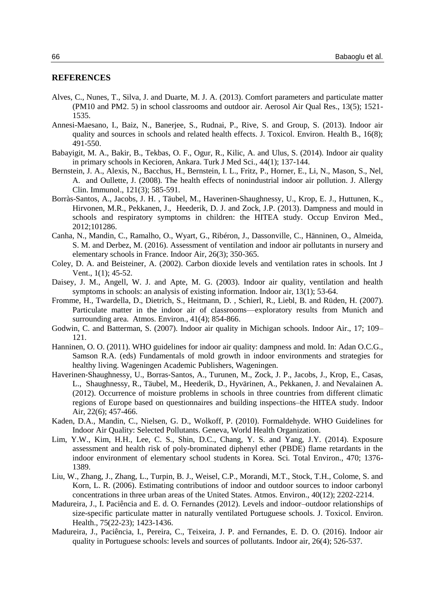### **REFERENCES**

- Alves, C., Nunes, T., Silva, J. and Duarte, M. J. A. (2013). Comfort parameters and particulate matter (PM10 and PM2. 5) in school classrooms and outdoor air. Aerosol Air Qual Res., 13(5); 1521- 1535.
- Annesi-Maesano, I., Baiz, N., Banerjee, S., Rudnai, P., Rive, S. and Group, S. (2013). Indoor air quality and sources in schools and related health effects. J. Toxicol. Environ. Health B., 16(8); 491-550.
- Babayigit, M. A., Bakir, B., Tekbas, O. F., Ogur, R., Kilic, A. and Ulus, S. (2014). Indoor air quality in primary schools in Kecioren, Ankara. Turk J Med Sci., 44(1); 137-144.
- Bernstein, J. A., Alexis, N., Bacchus, H., Bernstein, I. L., Fritz, P., Horner, E., Li, N., Mason, S., Nel, A. and Oullette, J. (2008). The health effects of nonindustrial indoor air pollution. J. Allergy Clin. Immunol., 121(3); 585-591.
- Borràs-Santos, A., Jacobs, J. H. , Täubel, M., Haverinen-Shaughnessy, U., Krop, E. J., Huttunen, K., Hirvonen, M.R., Pekkanen, J., Heederik, D. J. and Zock, J.P. (2013). Dampness and mould in schools and respiratory symptoms in children: the HITEA study. Occup Environ Med., 2012;101286.
- Canha, N., Mandin, C., Ramalho, O., Wyart, G., Ribéron, J., Dassonville, C., Hänninen, O., Almeida, S. M. and Derbez, M. (2016). Assessment of ventilation and indoor air pollutants in nursery and elementary schools in France. Indoor Air, 26(3); 350-365.
- Coley, D. A. and Beisteiner, A. (2002). Carbon dioxide levels and ventilation rates in schools. Int J Vent., 1(1); 45-52.
- Daisey, J. M., Angell, W. J. and Apte, M. G. (2003). Indoor air quality, ventilation and health symptoms in schools: an analysis of existing information. Indoor air, 13(1); 53-64.
- Fromme, H., Twardella, D., Dietrich, S., Heitmann, D. , Schierl, R., Liebl, B. and Rüden, H. (2007). Particulate matter in the indoor air of classrooms—exploratory results from Munich and surrounding area. Atmos. Environ., 41(4); 854-866.
- Godwin, C. and Batterman, S. (2007). Indoor air quality in Michigan schools. Indoor Air., 17; 109– 121.
- Hanninen, O. O. (2011). WHO guidelines for indoor air quality: dampness and mold. In: Adan O.C.G., Samson R.A. (eds) Fundamentals of mold growth in indoor environments and strategies for healthy living. Wageningen Academic Publishers, Wageningen.
- Haverinen‐Shaughnessy, U., Borras‐Santos, A., Turunen, M., Zock, J. P., Jacobs, J., Krop, E., Casas, L., Shaughnessy, R., Täubel, M., Heederik, D., Hyvärinen, A., Pekkanen, J. and Nevalainen A. (2012). Occurrence of moisture problems in schools in three countries from different climatic regions of Europe based on questionnaires and building inspections–the HITEA study. Indoor Air, 22(6); 457-466.
- Kaden, D.A., Mandin, C., Nielsen, G. D., Wolkoff, P. (2010). Formaldehyde. WHO Guidelines for Indoor Air Quality: Selected Pollutants. Geneva, World Health Organization.
- Lim, Y.W., Kim, H.H., Lee, C. S., Shin, D.C., Chang, Y. S. and Yang, J.Y. (2014). Exposure assessment and health risk of poly-brominated diphenyl ether (PBDE) flame retardants in the indoor environment of elementary school students in Korea. Sci. Total Environ., 470; 1376- 1389.
- Liu, W., Zhang, J., Zhang, L., Turpin, B. J., Weisel, C.P., Morandi, M.T., Stock, T.H., Colome, S. and Korn, L. R. (2006). Estimating contributions of indoor and outdoor sources to indoor carbonyl concentrations in three urban areas of the United States. Atmos. Environ., 40(12); 2202-2214.
- Madureira, J., I. Paciência and E. d. O. Fernandes (2012). Levels and indoor–outdoor relationships of size-specific particulate matter in naturally ventilated Portuguese schools. J. Toxicol. Environ. Health., 75(22-23); 1423-1436.
- Madureira, J., Paciência, I., Pereira, C., Teixeira, J. P. and Fernandes, E. D. O. (2016). Indoor air quality in Portuguese schools: levels and sources of pollutants. Indoor air, 26(4); 526-537.